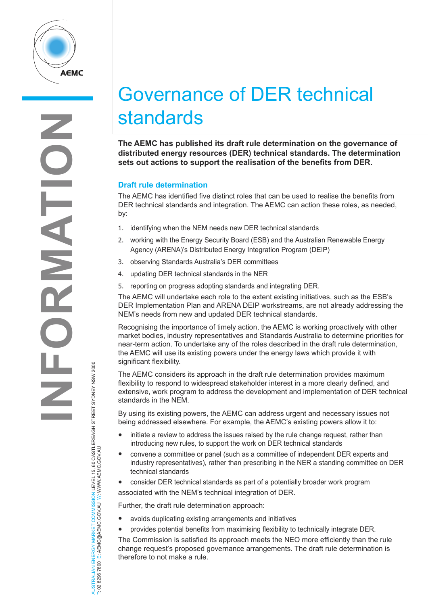

# Governance of DER technical standards

**The AEMC has published its draft rule determination on the governance of distributed energy resources (DER) technical standards. The determination sets out actions to support the realisation of the benefits from DER.** 

## **Draft rule determination**

The AEMC has identified five distinct roles that can be used to realise the benefits from DER technical standards and integration. The AEMC can action these roles, as needed, by:

- 1. identifying when the NEM needs new DER technical standards
- 2. working with the Energy Security Board (ESB) and the Australian Renewable Energy Agency (ARENA)'s Distributed Energy Integration Program (DEIP)
- 3. observing Standards Australia's DER committees
- 4. updating DER technical standards in the NER
- 5. reporting on progress adopting standards and integrating DER.

The AEMC will undertake each role to the extent existing initiatives, such as the ESB's DER Implementation Plan and ARENA DEIP workstreams, are not already addressing the NEM's needs from new and updated DER technical standards.

Recognising the importance of timely action, the AEMC is working proactively with other market bodies, industry representatives and Standards Australia to determine priorities for near-term action. To undertake any of the roles described in the draft rule determination, the AEMC will use its existing powers under the energy laws which provide it with significant flexibility.

The AEMC considers its approach in the draft rule determination provides maximum flexibility to respond to widespread stakeholder interest in a more clearly defined, and extensive, work program to address the development and implementation of DER technical standards in the NEM.

By using its existing powers, the AEMC can address urgent and necessary issues not being addressed elsewhere. For example, the AEMC's existing powers allow it to:

- initiate a review to address the issues raised by the rule change request, rather than introducing new rules, to support the work on DER technical standards
- convene a committee or panel (such as a committee of independent DER experts and industry representatives), rather than prescribing in the NER a standing committee on DER technical standards
- consider DER technical standards as part of a potentially broader work program associated with the NEM's technical integration of DER.

Further, the draft rule determination approach:

- avoids duplicating existing arrangements and initiatives
- provides potential benefits from maximising flexibility to technically integrate DER.

The Commission is satisfied its approach meets the NEO more efficiently than the rule change request's proposed governance arrangements. The draft rule determination is therefore to not make a rule.

AUSTRALIAN ENERGY MARKET COMMISSION LEVEL 15, 60 CASTLEREAGH STREET SYDNEY NSW 2000<br>T: 02 8296 7800 E: AEMC@AEMC.GOV.AU W: WWW.AEMC.GOV.AU AUSTRALIAN ENERGY MARKET COMMISSION LEVEL 15, 60 CASTLEREAGH STREET SYDNEY NSW 2000

T: 02 8296 7800 E: AEMC@AEMC.GOV.AU W: WWW.AEMC.GOV.AU